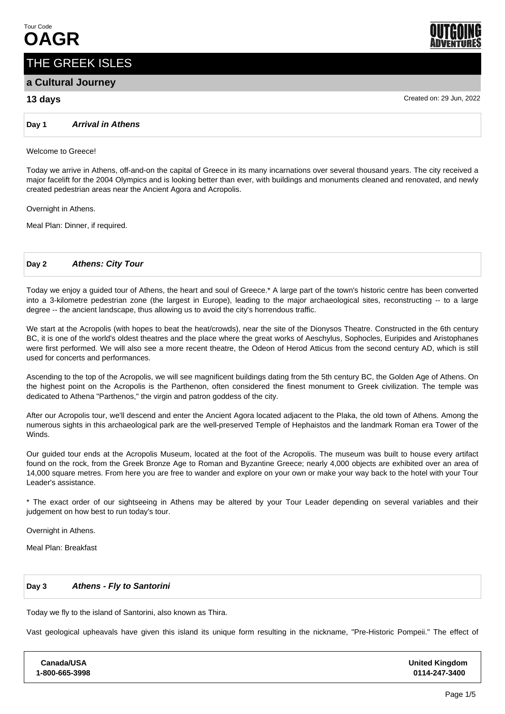# THE GREEK ISLES

# **a Cultural Journey**

# **13 days** Created on: 29 Jun, 2022

**Day 1 Arrival in Athens**

#### Welcome to Greece!

Today we arrive in Athens, off-and-on the capital of Greece in its many incarnations over several thousand years. The city received a major facelift for the 2004 Olympics and is looking better than ever, with buildings and monuments cleaned and renovated, and newly created pedestrian areas near the Ancient Agora and Acropolis.

Overnight in Athens.

Meal Plan: Dinner, if required.

#### **Day 2 Athens: City Tour**

Today we enjoy a guided tour of Athens, the heart and soul of Greece.\* A large part of the town's historic centre has been converted into a 3-kilometre pedestrian zone (the largest in Europe), leading to the major archaeological sites, reconstructing -- to a large degree -- the ancient landscape, thus allowing us to avoid the city's horrendous traffic.

We start at the Acropolis (with hopes to beat the heat/crowds), near the site of the Dionysos Theatre. Constructed in the 6th century BC, it is one of the world's oldest theatres and the place where the great works of Aeschylus, Sophocles, Euripides and Aristophanes were first performed. We will also see a more recent theatre, the Odeon of Herod Atticus from the second century AD, which is still used for concerts and performances.

Ascending to the top of the Acropolis, we will see magnificent buildings dating from the 5th century BC, the Golden Age of Athens. On the highest point on the Acropolis is the Parthenon, often considered the finest monument to Greek civilization. The temple was dedicated to Athena "Parthenos," the virgin and patron goddess of the city.

After our Acropolis tour, we'll descend and enter the Ancient Agora located adjacent to the Plaka, the old town of Athens. Among the numerous sights in this archaeological park are the well-preserved Temple of Hephaistos and the landmark Roman era Tower of the Winds.

Our guided tour ends at the Acropolis Museum, located at the foot of the Acropolis. The museum was built to house every artifact found on the rock, from the Greek Bronze Age to Roman and Byzantine Greece; nearly 4,000 objects are exhibited over an area of 14,000 square metres. From here you are free to wander and explore on your own or make your way back to the hotel with your Tour Leader's assistance.

\* The exact order of our sightseeing in Athens may be altered by your Tour Leader depending on several variables and their judgement on how best to run today's tour.

Overnight in Athens.

Meal Plan: Breakfast

#### **Day 3 Athens - Fly to Santorini**

Today we fly to the island of Santorini, also known as Thira.

Vast geological upheavals have given this island its unique form resulting in the nickname, "Pre-Historic Pompeii." The effect of

**Canada/USA 1-800-665-3998** **United Kingdom 0114-247-3400**



Page 1/5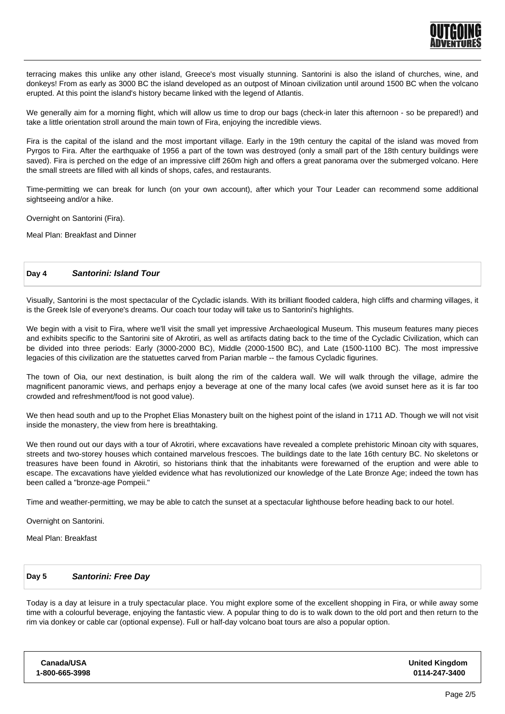

terracing makes this unlike any other island, Greece's most visually stunning. Santorini is also the island of churches, wine, and donkeys! From as early as 3000 BC the island developed as an outpost of Minoan civilization until around 1500 BC when the volcano erupted. At this point the island's history became linked with the legend of Atlantis.

We generally aim for a morning flight, which will allow us time to drop our bags (check-in later this afternoon - so be prepared!) and take a little orientation stroll around the main town of Fira, enjoying the incredible views.

Fira is the capital of the island and the most important village. Early in the 19th century the capital of the island was moved from Pyrgos to Fira. After the earthquake of 1956 a part of the town was destroyed (only a small part of the 18th century buildings were saved). Fira is perched on the edge of an impressive cliff 260m high and offers a great panorama over the submerged volcano. Here the small streets are filled with all kinds of shops, cafes, and restaurants.

Time-permitting we can break for lunch (on your own account), after which your Tour Leader can recommend some additional sightseeing and/or a hike.

Overnight on Santorini (Fira).

Meal Plan: Breakfast and Dinner

#### **Day 4 Santorini: Island Tour**

Visually, Santorini is the most spectacular of the Cycladic islands. With its brilliant flooded caldera, high cliffs and charming villages, it is the Greek Isle of everyone's dreams. Our coach tour today will take us to Santorini's highlights.

We begin with a visit to Fira, where we'll visit the small yet impressive Archaeological Museum. This museum features many pieces and exhibits specific to the Santorini site of Akrotiri, as well as artifacts dating back to the time of the Cycladic Civilization, which can be divided into three periods: Early (3000-2000 BC), Middle (2000-1500 BC), and Late (1500-1100 BC). The most impressive legacies of this civilization are the statuettes carved from Parian marble -- the famous Cycladic figurines.

The town of Oia, our next destination, is built along the rim of the caldera wall. We will walk through the village, admire the magnificent panoramic views, and perhaps enjoy a beverage at one of the many local cafes (we avoid sunset here as it is far too crowded and refreshment/food is not good value).

We then head south and up to the Prophet Elias Monastery built on the highest point of the island in 1711 AD. Though we will not visit inside the monastery, the view from here is breathtaking.

We then round out our days with a tour of Akrotiri, where excavations have revealed a complete prehistoric Minoan city with squares, streets and two-storey houses which contained marvelous frescoes. The buildings date to the late 16th century BC. No skeletons or treasures have been found in Akrotiri, so historians think that the inhabitants were forewarned of the eruption and were able to escape. The excavations have yielded evidence what has revolutionized our knowledge of the Late Bronze Age; indeed the town has been called a "bronze-age Pompeii."

Time and weather-permitting, we may be able to catch the sunset at a spectacular lighthouse before heading back to our hotel.

Overnight on Santorini.

Meal Plan: Breakfast

#### **Day 5 Santorini: Free Day**

Today is a day at leisure in a truly spectacular place. You might explore some of the excellent shopping in Fira, or while away some time with a colourful beverage, enjoying the fantastic view. A popular thing to do is to walk down to the old port and then return to the rim via donkey or cable car (optional expense). Full or half-day volcano boat tours are also a popular option.

| Canada/USA     |  |
|----------------|--|
| 1-800-665-3998 |  |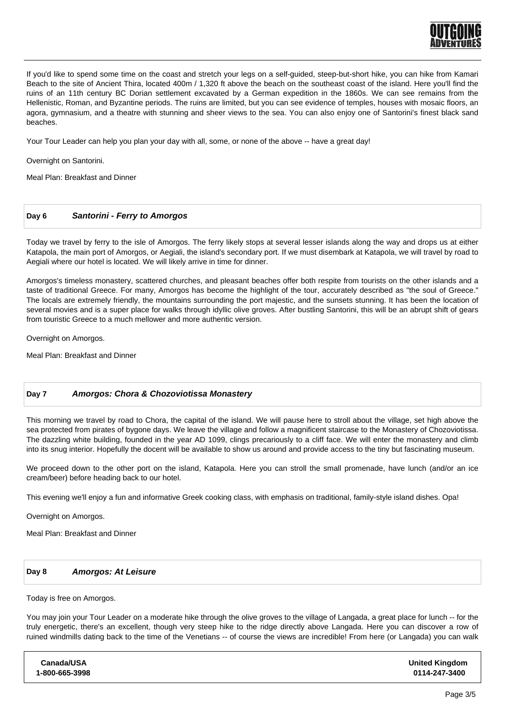

If you'd like to spend some time on the coast and stretch your legs on a self-guided, steep-but-short hike, you can hike from Kamari Beach to the site of Ancient Thira, located 400m / 1,320 ft above the beach on the southeast coast of the island. Here you'll find the ruins of an 11th century BC Dorian settlement excavated by a German expedition in the 1860s. We can see remains from the Hellenistic, Roman, and Byzantine periods. The ruins are limited, but you can see evidence of temples, houses with mosaic floors, an agora, gymnasium, and a theatre with stunning and sheer views to the sea. You can also enjoy one of Santorini's finest black sand beaches.

Your Tour Leader can help you plan your day with all, some, or none of the above -- have a great day!

Overnight on Santorini.

Meal Plan: Breakfast and Dinner

#### **Day 6 Santorini - Ferry to Amorgos**

Today we travel by ferry to the isle of Amorgos. The ferry likely stops at several lesser islands along the way and drops us at either Katapola, the main port of Amorgos, or Aegiali, the island's secondary port. If we must disembark at Katapola, we will travel by road to Aegiali where our hotel is located. We will likely arrive in time for dinner.

Amorgos's timeless monastery, scattered churches, and pleasant beaches offer both respite from tourists on the other islands and a taste of traditional Greece. For many, Amorgos has become the highlight of the tour, accurately described as "the soul of Greece." The locals are extremely friendly, the mountains surrounding the port majestic, and the sunsets stunning. It has been the location of several movies and is a super place for walks through idyllic olive groves. After bustling Santorini, this will be an abrupt shift of gears from touristic Greece to a much mellower and more authentic version.

Overnight on Amorgos.

Meal Plan: Breakfast and Dinner

#### **Day 7 Amorgos: Chora & Chozoviotissa Monastery**

This morning we travel by road to Chora, the capital of the island. We will pause here to stroll about the village, set high above the sea protected from pirates of bygone days. We leave the village and follow a magnificent staircase to the Monastery of Chozoviotissa. The dazzling white building, founded in the year AD 1099, clings precariously to a cliff face. We will enter the monastery and climb into its snug interior. Hopefully the docent will be available to show us around and provide access to the tiny but fascinating museum.

We proceed down to the other port on the island, Katapola. Here you can stroll the small promenade, have lunch (and/or an ice cream/beer) before heading back to our hotel.

This evening we'll enjoy a fun and informative Greek cooking class, with emphasis on traditional, family-style island dishes. Opa!

Overnight on Amorgos.

Meal Plan: Breakfast and Dinner

#### **Day 8 Amorgos: At Leisure**

Today is free on Amorgos.

You may join your Tour Leader on a moderate hike through the olive groves to the village of Langada, a great place for lunch -- for the truly energetic, there's an excellent, though very steep hike to the ridge directly above Langada. Here you can discover a row of ruined windmills dating back to the time of the Venetians -- of course the views are incredible! From here (or Langada) you can walk

**Canada/USA 1-800-665-3998 United Kingdom 0114-247-3400**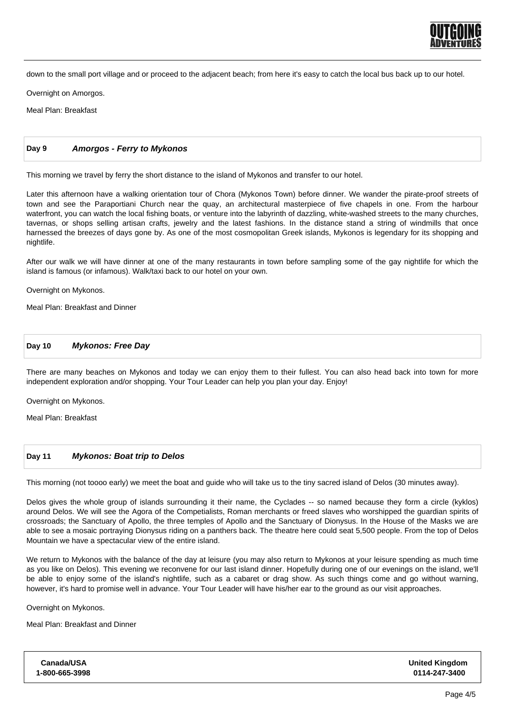

down to the small port village and or proceed to the adjacent beach; from here it's easy to catch the local bus back up to our hotel.

Overnight on Amorgos.

Meal Plan: Breakfast

## **Day 9 Amorgos - Ferry to Mykonos**

This morning we travel by ferry the short distance to the island of Mykonos and transfer to our hotel.

Later this afternoon have a walking orientation tour of Chora (Mykonos Town) before dinner. We wander the pirate-proof streets of town and see the Paraportiani Church near the quay, an architectural masterpiece of five chapels in one. From the harbour waterfront, you can watch the local fishing boats, or venture into the labyrinth of dazzling, white-washed streets to the many churches, tavernas, or shops selling artisan crafts, jewelry and the latest fashions. In the distance stand a string of windmills that once harnessed the breezes of days gone by. As one of the most cosmopolitan Greek islands, Mykonos is legendary for its shopping and nightlife.

After our walk we will have dinner at one of the many restaurants in town before sampling some of the gay nightlife for which the island is famous (or infamous). Walk/taxi back to our hotel on your own.

Overnight on Mykonos.

Meal Plan: Breakfast and Dinner

#### **Day 10 Mykonos: Free Day**

There are many beaches on Mykonos and today we can enjoy them to their fullest. You can also head back into town for more independent exploration and/or shopping. Your Tour Leader can help you plan your day. Enjoy!

Overnight on Mykonos.

Meal Plan: Breakfast

#### **Day 11 Mykonos: Boat trip to Delos**

This morning (not toooo early) we meet the boat and guide who will take us to the tiny sacred island of Delos (30 minutes away).

Delos gives the whole group of islands surrounding it their name, the Cyclades -- so named because they form a circle (kyklos) around Delos. We will see the Agora of the Competialists, Roman merchants or freed slaves who worshipped the guardian spirits of crossroads; the Sanctuary of Apollo, the three temples of Apollo and the Sanctuary of Dionysus. In the House of the Masks we are able to see a mosaic portraying Dionysus riding on a panthers back. The theatre here could seat 5,500 people. From the top of Delos Mountain we have a spectacular view of the entire island.

We return to Mykonos with the balance of the day at leisure (you may also return to Mykonos at your leisure spending as much time as you like on Delos). This evening we reconvene for our last island dinner. Hopefully during one of our evenings on the island, we'll be able to enjoy some of the island's nightlife, such as a cabaret or drag show. As such things come and go without warning, however, it's hard to promise well in advance. Your Tour Leader will have his/her ear to the ground as our visit approaches.

Overnight on Mykonos.

Meal Plan: Breakfast and Dinner